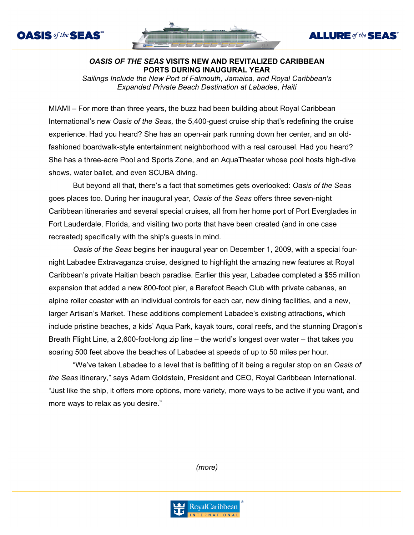



**ALLURE** of the **SEAS** 



*Sailings Include the New Port of Falmouth, Jamaica, and Royal Caribbean's Expanded Private Beach Destination at Labadee, Haiti*

MIAMI – For more than three years, the buzz had been building about Royal Caribbean International's new *Oasis of the Seas,* the 5,400-guest cruise ship that's redefining the cruise experience. Had you heard? She has an open-air park running down her center, and an oldfashioned boardwalk-style entertainment neighborhood with a real carousel. Had you heard? She has a three-acre Pool and Sports Zone, and an AquaTheater whose pool hosts high-dive shows, water ballet, and even SCUBA diving.

But beyond all that, there's a fact that sometimes gets overlooked: *Oasis of the Seas*  goes places too. During her inaugural year, *Oasis of the Seas* offers three seven-night Caribbean itineraries and several special cruises, all from her home port of Port Everglades in Fort Lauderdale, Florida, and visiting two ports that have been created (and in one case recreated) specifically with the ship's guests in mind.

*Oasis of the Seas* begins her inaugural year on December 1, 2009, with a special fournight Labadee Extravaganza cruise, designed to highlight the amazing new features at Royal Caribbean's private Haitian beach paradise. Earlier this year, Labadee completed a \$55 million expansion that added a new 800-foot pier, a Barefoot Beach Club with private cabanas, an alpine roller coaster with an individual controls for each car, new dining facilities, and a new, larger Artisan's Market. These additions complement Labadee's existing attractions, which include pristine beaches, a kids' Aqua Park, kayak tours, coral reefs, and the stunning Dragon's Breath Flight Line, a 2,600-foot-long zip line – the world's longest over water – that takes you soaring 500 feet above the beaches of Labadee at speeds of up to 50 miles per hour.

"We've taken Labadee to a level that is befitting of it being a regular stop on an *Oasis of the Seas* itinerary," says Adam Goldstein, President and CEO, Royal Caribbean International. "Just like the ship, it offers more options, more variety, more ways to be active if you want, and more ways to relax as you desire."

*(more)*

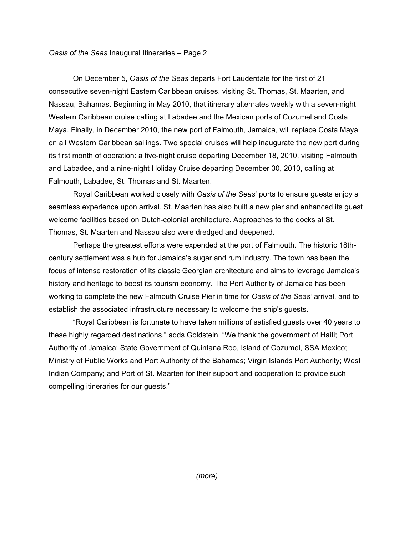## *Oasis of the Seas* Inaugural Itineraries – Page 2

On December 5, *Oasis of the Seas* departs Fort Lauderdale for the first of 21 consecutive seven-night Eastern Caribbean cruises, visiting St. Thomas, St. Maarten, and Nassau, Bahamas. Beginning in May 2010, that itinerary alternates weekly with a seven-night Western Caribbean cruise calling at Labadee and the Mexican ports of Cozumel and Costa Maya. Finally, in December 2010, the new port of Falmouth, Jamaica, will replace Costa Maya on all Western Caribbean sailings. Two special cruises will help inaugurate the new port during its first month of operation: a five-night cruise departing December 18, 2010, visiting Falmouth and Labadee, and a nine-night Holiday Cruise departing December 30, 2010, calling at Falmouth, Labadee, St. Thomas and St. Maarten.

Royal Caribbean worked closely with *Oasis of the Seas'* ports to ensure guests enjoy a seamless experience upon arrival. St. Maarten has also built a new pier and enhanced its guest welcome facilities based on Dutch-colonial architecture. Approaches to the docks at St. Thomas, St. Maarten and Nassau also were dredged and deepened.

Perhaps the greatest efforts were expended at the port of Falmouth. The historic 18thcentury settlement was a hub for Jamaica's sugar and rum industry. The town has been the focus of intense restoration of its classic Georgian architecture and aims to leverage Jamaica's history and heritage to boost its tourism economy. The Port Authority of Jamaica has been working to complete the new Falmouth Cruise Pier in time for *Oasis of the Seas'* arrival, and to establish the associated infrastructure necessary to welcome the ship's guests.

"Royal Caribbean is fortunate to have taken millions of satisfied guests over 40 years to these highly regarded destinations," adds Goldstein. "We thank the government of Haiti; Port Authority of Jamaica; State Government of Quintana Roo, Island of Cozumel, SSA Mexico; Ministry of Public Works and Port Authority of the Bahamas; Virgin Islands Port Authority; West Indian Company; and Port of St. Maarten for their support and cooperation to provide such compelling itineraries for our guests."